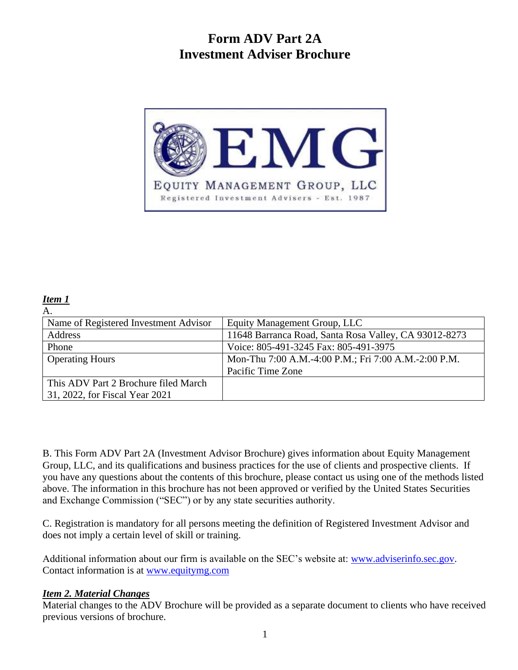# **Form ADV Part 2A Investment Adviser Brochure**



#### *Item 1*

| А.                                    |                                                       |
|---------------------------------------|-------------------------------------------------------|
| Name of Registered Investment Advisor | Equity Management Group, LLC                          |
| Address                               | 11648 Barranca Road, Santa Rosa Valley, CA 93012-8273 |
| Phone                                 | Voice: 805-491-3245 Fax: 805-491-3975                 |
| <b>Operating Hours</b>                | Mon-Thu 7:00 A.M.-4:00 P.M.; Fri 7:00 A.M.-2:00 P.M.  |
|                                       | Pacific Time Zone                                     |
| This ADV Part 2 Brochure filed March  |                                                       |
| 31, 2022, for Fiscal Year 2021        |                                                       |

B. This Form ADV Part 2A (Investment Advisor Brochure) gives information about Equity Management Group, LLC, and its qualifications and business practices for the use of clients and prospective clients. If you have any questions about the contents of this brochure, please contact us using one of the methods listed above. The information in this brochure has not been approved or verified by the United States Securities and Exchange Commission ("SEC") or by any state securities authority.

C. Registration is mandatory for all persons meeting the definition of Registered Investment Advisor and does not imply a certain level of skill or training.

Additional information about our firm is available on the SEC's website at: [www.adviserinfo.sec.gov.](http://www.adviserinfo.sec.gov/) Contact information is at [www.equitymg.com](http://www.equitymg.com/)

### *Item 2. Material Changes*

Material changes to the ADV Brochure will be provided as a separate document to clients who have received previous versions of brochure.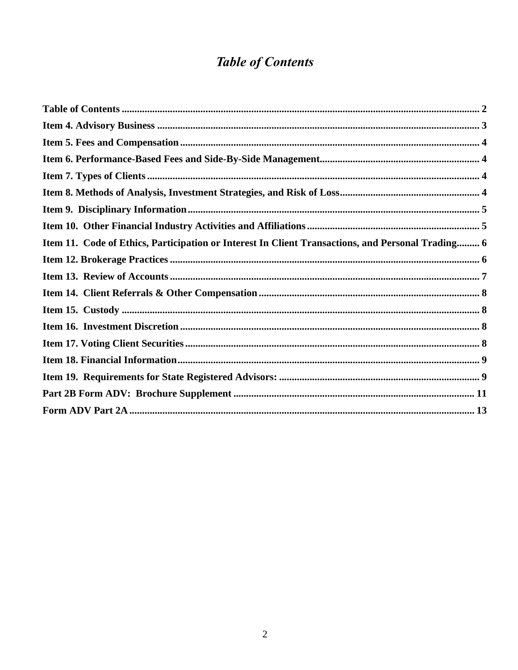# **Table of Contents**

<span id="page-1-0"></span>

| Item 11. Code of Ethics, Participation or Interest In Client Transactions, and Personal Trading 6 |  |
|---------------------------------------------------------------------------------------------------|--|
|                                                                                                   |  |
|                                                                                                   |  |
|                                                                                                   |  |
|                                                                                                   |  |
|                                                                                                   |  |
|                                                                                                   |  |
|                                                                                                   |  |
|                                                                                                   |  |
|                                                                                                   |  |
|                                                                                                   |  |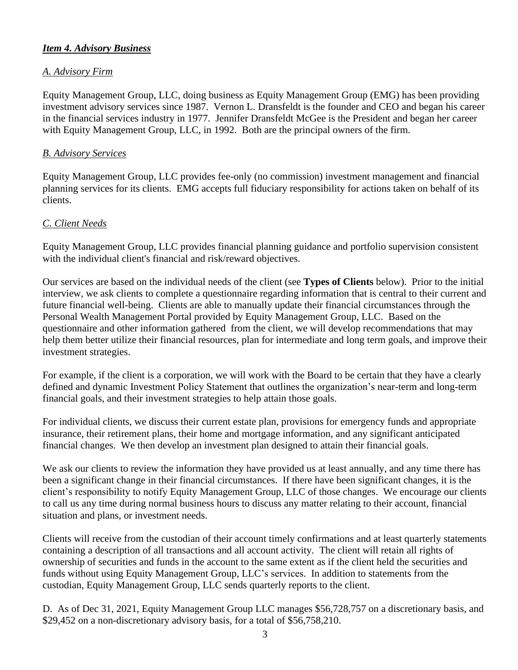# <span id="page-2-0"></span>*Item 4. Advisory Business*

### *A. Advisory Firm*

Equity Management Group, LLC, doing business as Equity Management Group (EMG) has been providing investment advisory services since 1987. Vernon L. Dransfeldt is the founder and CEO and began his career in the financial services industry in 1977. Jennifer Dransfeldt McGee is the President and began her career with Equity Management Group, LLC, in 1992. Both are the principal owners of the firm.

#### *B. Advisory Services*

Equity Management Group, LLC provides fee-only (no commission) investment management and financial planning services for its clients. EMG accepts full fiduciary responsibility for actions taken on behalf of its clients.

#### *C. Client Needs*

Equity Management Group, LLC provides financial planning guidance and portfolio supervision consistent with the individual client's financial and risk/reward objectives.

Our services are based on the individual needs of the client (see **Types of Clients** below). Prior to the initial interview, we ask clients to complete a questionnaire regarding information that is central to their current and future financial well-being. Clients are able to manually update their financial circumstances through the Personal Wealth Management Portal provided by Equity Management Group, LLC. Based on the questionnaire and other information gathered from the client, we will develop recommendations that may help them better utilize their financial resources, plan for intermediate and long term goals, and improve their investment strategies.

For example, if the client is a corporation, we will work with the Board to be certain that they have a clearly defined and dynamic Investment Policy Statement that outlines the organization's near-term and long-term financial goals, and their investment strategies to help attain those goals.

For individual clients, we discuss their current estate plan, provisions for emergency funds and appropriate insurance, their retirement plans, their home and mortgage information, and any significant anticipated financial changes. We then develop an investment plan designed to attain their financial goals.

We ask our clients to review the information they have provided us at least annually, and any time there has been a significant change in their financial circumstances. If there have been significant changes, it is the client's responsibility to notify Equity Management Group, LLC of those changes. We encourage our clients to call us any time during normal business hours to discuss any matter relating to their account, financial situation and plans, or investment needs.

Clients will receive from the custodian of their account timely confirmations and at least quarterly statements containing a description of all transactions and all account activity. The client will retain all rights of ownership of securities and funds in the account to the same extent as if the client held the securities and funds without using Equity Management Group, LLC's services. In addition to statements from the custodian, Equity Management Group, LLC sends quarterly reports to the client.

D. As of Dec 31, 2021, Equity Management Group LLC manages \$56,728,757 on a discretionary basis, and \$29,452 on a non-discretionary advisory basis, for a total of \$56,758,210.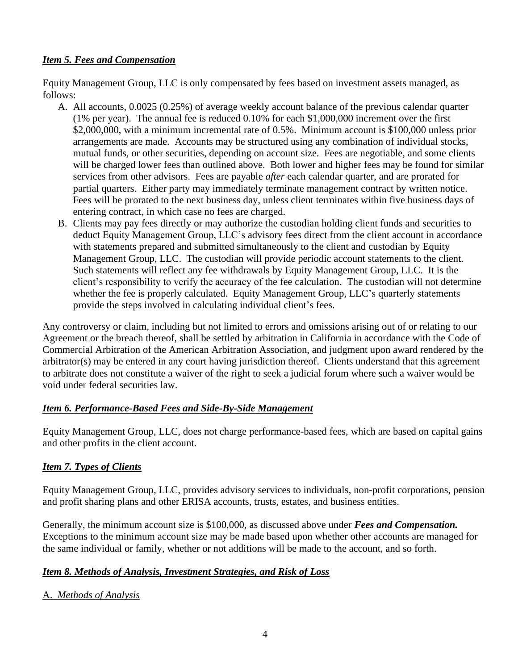# <span id="page-3-0"></span>*Item 5. Fees and Compensation*

Equity Management Group, LLC is only compensated by fees based on investment assets managed, as follows:

- A. All accounts, 0.0025 (0.25%) of average weekly account balance of the previous calendar quarter (1% per year). The annual fee is reduced 0.10% for each \$1,000,000 increment over the first \$2,000,000, with a minimum incremental rate of 0.5%. Minimum account is \$100,000 unless prior arrangements are made. Accounts may be structured using any combination of individual stocks, mutual funds, or other securities, depending on account size. Fees are negotiable, and some clients will be charged lower fees than outlined above. Both lower and higher fees may be found for similar services from other advisors. Fees are payable *after* each calendar quarter, and are prorated for partial quarters. Either party may immediately terminate management contract by written notice. Fees will be prorated to the next business day, unless client terminates within five business days of entering contract, in which case no fees are charged.
- B. Clients may pay fees directly or may authorize the custodian holding client funds and securities to deduct Equity Management Group, LLC's advisory fees direct from the client account in accordance with statements prepared and submitted simultaneously to the client and custodian by Equity Management Group, LLC. The custodian will provide periodic account statements to the client. Such statements will reflect any fee withdrawals by Equity Management Group, LLC. It is the client's responsibility to verify the accuracy of the fee calculation. The custodian will not determine whether the fee is properly calculated. Equity Management Group, LLC's quarterly statements provide the steps involved in calculating individual client's fees.

Any controversy or claim, including but not limited to errors and omissions arising out of or relating to our Agreement or the breach thereof, shall be settled by arbitration in California in accordance with the Code of Commercial Arbitration of the American Arbitration Association, and judgment upon award rendered by the arbitrator(s) may be entered in any court having jurisdiction thereof. Clients understand that this agreement to arbitrate does not constitute a waiver of the right to seek a judicial forum where such a waiver would be void under federal securities law.

# <span id="page-3-1"></span>*Item 6. Performance-Based Fees and Side-By-Side Management*

Equity Management Group, LLC, does not charge performance-based fees, which are based on capital gains and other profits in the client account.

### <span id="page-3-2"></span>*Item 7. Types of Clients*

Equity Management Group, LLC, provides advisory services to individuals, non-profit corporations, pension and profit sharing plans and other ERISA accounts, trusts, estates, and business entities.

Generally, the minimum account size is \$100,000, as discussed above under *Fees and Compensation.* Exceptions to the minimum account size may be made based upon whether other accounts are managed for the same individual or family, whether or not additions will be made to the account, and so forth.

# <span id="page-3-3"></span>*Item 8. Methods of Analysis, Investment Strategies, and Risk of Loss*

### A. *Methods of Analysis*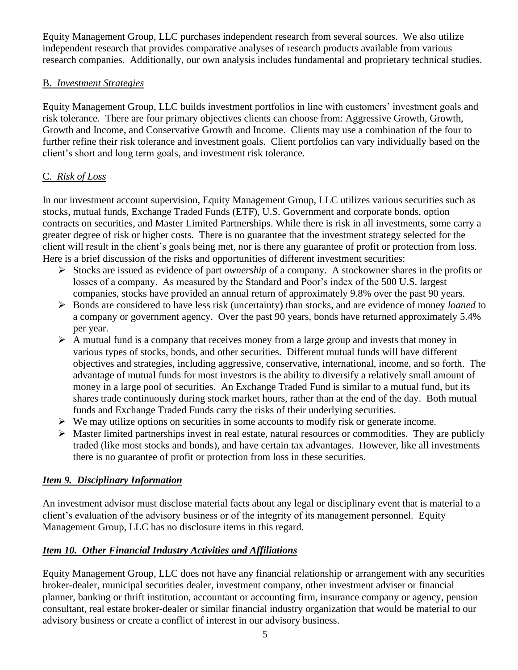Equity Management Group, LLC purchases independent research from several sources. We also utilize independent research that provides comparative analyses of research products available from various research companies. Additionally, our own analysis includes fundamental and proprietary technical studies.

# B. *Investment Strategies*

Equity Management Group, LLC builds investment portfolios in line with customers' investment goals and risk tolerance. There are four primary objectives clients can choose from: Aggressive Growth, Growth, Growth and Income, and Conservative Growth and Income. Clients may use a combination of the four to further refine their risk tolerance and investment goals. Client portfolios can vary individually based on the client's short and long term goals, and investment risk tolerance.

# C. *Risk of Loss*

In our investment account supervision, Equity Management Group, LLC utilizes various securities such as stocks, mutual funds, Exchange Traded Funds (ETF), U.S. Government and corporate bonds, option contracts on securities, and Master Limited Partnerships. While there is risk in all investments, some carry a greater degree of risk or higher costs. There is no guarantee that the investment strategy selected for the client will result in the client's goals being met, nor is there any guarantee of profit or protection from loss. Here is a brief discussion of the risks and opportunities of different investment securities:

- ➢ Stocks are issued as evidence of part *ownership* of a company. A stockowner shares in the profits or losses of a company. As measured by the Standard and Poor's index of the 500 U.S. largest companies, stocks have provided an annual return of approximately 9.8% over the past 90 years.
- ➢ Bonds are considered to have less risk (uncertainty) than stocks, and are evidence of money *loaned* to a company or government agency. Over the past 90 years, bonds have returned approximately 5.4% per year.
- $\triangleright$  A mutual fund is a company that receives money from a large group and invests that money in various types of stocks, bonds, and other securities. Different mutual funds will have different objectives and strategies, including aggressive, conservative, international, income, and so forth. The advantage of mutual funds for most investors is the ability to diversify a relatively small amount of money in a large pool of securities. An Exchange Traded Fund is similar to a mutual fund, but its shares trade continuously during stock market hours, rather than at the end of the day. Both mutual funds and Exchange Traded Funds carry the risks of their underlying securities.
- $\triangleright$  We may utilize options on securities in some accounts to modify risk or generate income.
- $\triangleright$  Master limited partnerships invest in real estate, natural resources or commodities. They are publicly traded (like most stocks and bonds), and have certain tax advantages. However, like all investments there is no guarantee of profit or protection from loss in these securities.

### <span id="page-4-0"></span>*Item 9. Disciplinary Information*

An investment advisor must disclose material facts about any legal or disciplinary event that is material to a client's evaluation of the advisory business or of the integrity of its management personnel. Equity Management Group, LLC has no disclosure items in this regard.

# <span id="page-4-1"></span>*Item 10. Other Financial Industry Activities and Affiliations*

Equity Management Group, LLC does not have any financial relationship or arrangement with any securities broker-dealer, municipal securities dealer, investment company, other investment adviser or financial planner, banking or thrift institution, accountant or accounting firm, insurance company or agency, pension consultant, real estate broker-dealer or similar financial industry organization that would be material to our advisory business or create a conflict of interest in our advisory business.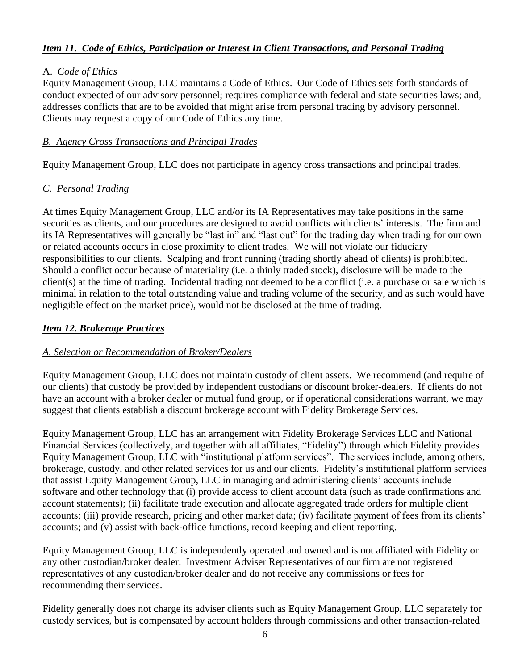# <span id="page-5-0"></span>*Item 11. Code of Ethics, Participation or Interest In Client Transactions, and Personal Trading*

### A. *Code of Ethics*

Equity Management Group, LLC maintains a Code of Ethics. Our Code of Ethics sets forth standards of conduct expected of our advisory personnel; requires compliance with federal and state securities laws; and, addresses conflicts that are to be avoided that might arise from personal trading by advisory personnel. Clients may request a copy of our Code of Ethics any time.

# *B. Agency Cross Transactions and Principal Trades*

Equity Management Group, LLC does not participate in agency cross transactions and principal trades.

### *C. Personal Trading*

At times Equity Management Group, LLC and/or its IA Representatives may take positions in the same securities as clients, and our procedures are designed to avoid conflicts with clients' interests. The firm and its IA Representatives will generally be "last in" and "last out" for the trading day when trading for our own or related accounts occurs in close proximity to client trades. We will not violate our fiduciary responsibilities to our clients. Scalping and front running (trading shortly ahead of clients) is prohibited. Should a conflict occur because of materiality (i.e. a thinly traded stock), disclosure will be made to the client(s) at the time of trading. Incidental trading not deemed to be a conflict (i.e. a purchase or sale which is minimal in relation to the total outstanding value and trading volume of the security, and as such would have negligible effect on the market price), would not be disclosed at the time of trading.

### <span id="page-5-1"></span>*Item 12. Brokerage Practices*

### *A. Selection or Recommendation of Broker/Dealers*

Equity Management Group, LLC does not maintain custody of client assets. We recommend (and require of our clients) that custody be provided by independent custodians or discount broker-dealers. If clients do not have an account with a broker dealer or mutual fund group, or if operational considerations warrant, we may suggest that clients establish a discount brokerage account with Fidelity Brokerage Services.

Equity Management Group, LLC has an arrangement with Fidelity Brokerage Services LLC and National Financial Services (collectively, and together with all affiliates, "Fidelity") through which Fidelity provides Equity Management Group, LLC with "institutional platform services". The services include, among others, brokerage, custody, and other related services for us and our clients. Fidelity's institutional platform services that assist Equity Management Group, LLC in managing and administering clients' accounts include software and other technology that (i) provide access to client account data (such as trade confirmations and account statements); (ii) facilitate trade execution and allocate aggregated trade orders for multiple client accounts; (iii) provide research, pricing and other market data; (iv) facilitate payment of fees from its clients' accounts; and (v) assist with back-office functions, record keeping and client reporting.

Equity Management Group, LLC is independently operated and owned and is not affiliated with Fidelity or any other custodian/broker dealer. Investment Adviser Representatives of our firm are not registered representatives of any custodian/broker dealer and do not receive any commissions or fees for recommending their services.

Fidelity generally does not charge its adviser clients such as Equity Management Group, LLC separately for custody services, but is compensated by account holders through commissions and other transaction-related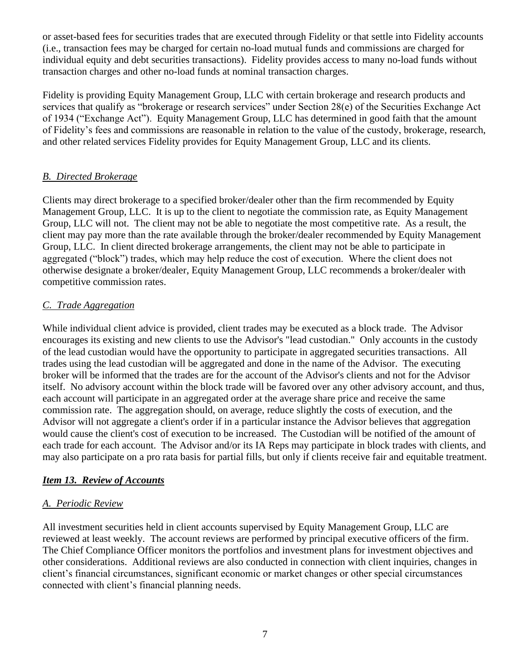or asset-based fees for securities trades that are executed through Fidelity or that settle into Fidelity accounts (i.e., transaction fees may be charged for certain no-load mutual funds and commissions are charged for individual equity and debt securities transactions). Fidelity provides access to many no-load funds without transaction charges and other no-load funds at nominal transaction charges.

Fidelity is providing Equity Management Group, LLC with certain brokerage and research products and services that qualify as "brokerage or research services" under Section 28(e) of the Securities Exchange Act of 1934 ("Exchange Act"). Equity Management Group, LLC has determined in good faith that the amount of Fidelity's fees and commissions are reasonable in relation to the value of the custody, brokerage, research, and other related services Fidelity provides for Equity Management Group, LLC and its clients.

# *B. Directed Brokerage*

Clients may direct brokerage to a specified broker/dealer other than the firm recommended by Equity Management Group, LLC. It is up to the client to negotiate the commission rate, as Equity Management Group, LLC will not. The client may not be able to negotiate the most competitive rate. As a result, the client may pay more than the rate available through the broker/dealer recommended by Equity Management Group, LLC. In client directed brokerage arrangements, the client may not be able to participate in aggregated ("block") trades, which may help reduce the cost of execution. Where the client does not otherwise designate a broker/dealer, Equity Management Group, LLC recommends a broker/dealer with competitive commission rates.

# *C. Trade Aggregation*

While individual client advice is provided, client trades may be executed as a block trade. The Advisor encourages its existing and new clients to use the Advisor's "lead custodian." Only accounts in the custody of the lead custodian would have the opportunity to participate in aggregated securities transactions. All trades using the lead custodian will be aggregated and done in the name of the Advisor. The executing broker will be informed that the trades are for the account of the Advisor's clients and not for the Advisor itself. No advisory account within the block trade will be favored over any other advisory account, and thus, each account will participate in an aggregated order at the average share price and receive the same commission rate. The aggregation should, on average, reduce slightly the costs of execution, and the Advisor will not aggregate a client's order if in a particular instance the Advisor believes that aggregation would cause the client's cost of execution to be increased. The Custodian will be notified of the amount of each trade for each account. The Advisor and/or its IA Reps may participate in block trades with clients, and may also participate on a pro rata basis for partial fills, but only if clients receive fair and equitable treatment.

### <span id="page-6-0"></span>*Item 13. Review of Accounts*

### *A. Periodic Review*

All investment securities held in client accounts supervised by Equity Management Group, LLC are reviewed at least weekly. The account reviews are performed by principal executive officers of the firm. The Chief Compliance Officer monitors the portfolios and investment plans for investment objectives and other considerations. Additional reviews are also conducted in connection with client inquiries, changes in client's financial circumstances, significant economic or market changes or other special circumstances connected with client's financial planning needs.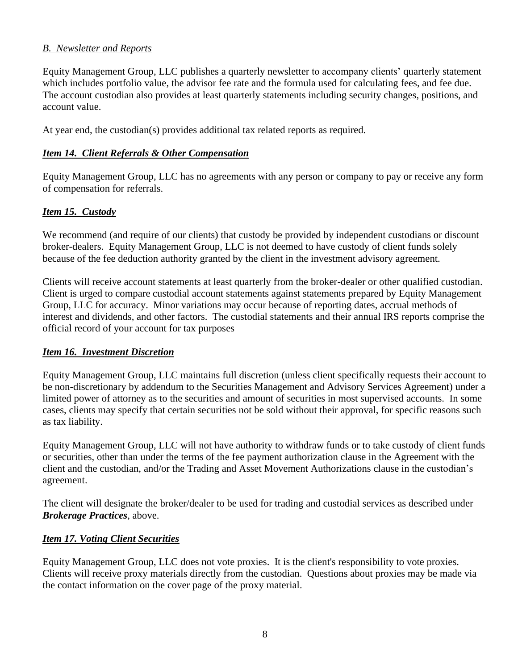#### *B. Newsletter and Reports*

Equity Management Group, LLC publishes a quarterly newsletter to accompany clients' quarterly statement which includes portfolio value, the advisor fee rate and the formula used for calculating fees, and fee due. The account custodian also provides at least quarterly statements including security changes, positions, and account value.

At year end, the custodian(s) provides additional tax related reports as required.

#### <span id="page-7-0"></span>*Item 14. Client Referrals & Other Compensation*

Equity Management Group, LLC has no agreements with any person or company to pay or receive any form of compensation for referrals.

#### <span id="page-7-1"></span>*Item 15. Custody*

We recommend (and require of our clients) that custody be provided by independent custodians or discount broker-dealers. Equity Management Group, LLC is not deemed to have custody of client funds solely because of the fee deduction authority granted by the client in the investment advisory agreement.

Clients will receive account statements at least quarterly from the broker-dealer or other qualified custodian. Client is urged to compare custodial account statements against statements prepared by Equity Management Group, LLC for accuracy. Minor variations may occur because of reporting dates, accrual methods of interest and dividends, and other factors. The custodial statements and their annual IRS reports comprise the official record of your account for tax purposes

#### <span id="page-7-2"></span>*Item 16. Investment Discretion*

Equity Management Group, LLC maintains full discretion (unless client specifically requests their account to be non-discretionary by addendum to the Securities Management and Advisory Services Agreement) under a limited power of attorney as to the securities and amount of securities in most supervised accounts. In some cases, clients may specify that certain securities not be sold without their approval, for specific reasons such as tax liability.

Equity Management Group, LLC will not have authority to withdraw funds or to take custody of client funds or securities, other than under the terms of the fee payment authorization clause in the Agreement with the client and the custodian, and/or the Trading and Asset Movement Authorizations clause in the custodian's agreement.

The client will designate the broker/dealer to be used for trading and custodial services as described under *Brokerage Practices*, above.

#### <span id="page-7-3"></span>*Item 17. Voting Client Securities*

Equity Management Group, LLC does not vote proxies. It is the client's responsibility to vote proxies. Clients will receive proxy materials directly from the custodian. Questions about proxies may be made via the contact information on the cover page of the proxy material.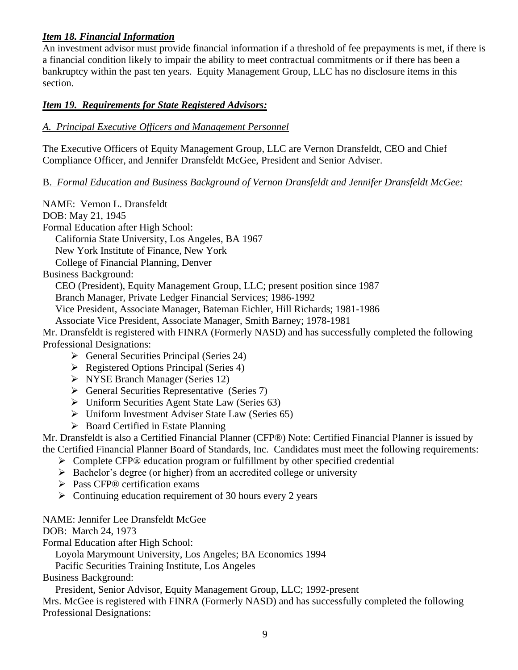# <span id="page-8-0"></span>*Item 18. Financial Information*

An investment advisor must provide financial information if a threshold of fee prepayments is met, if there is a financial condition likely to impair the ability to meet contractual commitments or if there has been a bankruptcy within the past ten years. Equity Management Group, LLC has no disclosure items in this section.

# <span id="page-8-1"></span>*Item 19. Requirements for State Registered Advisors:*

# *A. Principal Executive Officers and Management Personnel*

The Executive Officers of Equity Management Group, LLC are Vernon Dransfeldt, CEO and Chief Compliance Officer, and Jennifer Dransfeldt McGee, President and Senior Adviser.

### B. *Formal Education and Business Background of Vernon Dransfeldt and Jennifer Dransfeldt McGee:*

NAME: Vernon L. Dransfeldt DOB: May 21, 1945 Formal Education after High School: California State University, Los Angeles, BA 1967 New York Institute of Finance, New York College of Financial Planning, Denver Business Background: CEO (President), Equity Management Group, LLC; present position since 1987 Branch Manager, Private Ledger Financial Services; 1986-1992 Vice President, Associate Manager, Bateman Eichler, Hill Richards; 1981-1986 Associate Vice President, Associate Manager, Smith Barney; 1978-1981 Mr. Dransfeldt is registered with FINRA (Formerly NASD) and has successfully completed the following Professional Designations: ➢ General Securities Principal (Series 24) ➢ Registered Options Principal (Series 4) ➢ NYSE Branch Manager (Series 12) ➢ General Securities Representative (Series 7)

- ➢ Uniform Securities Agent State Law (Series 63)
- ➢ Uniform Investment Adviser State Law (Series 65)
- ➢ Board Certified in Estate Planning

Mr. Dransfeldt is also a Certified Financial Planner (CFP®) Note: Certified Financial Planner is issued by the Certified Financial Planner Board of Standards, Inc. Candidates must meet the following requirements:

- ➢ Complete CFP® education program or fulfillment by other specified credential
- ➢ Bachelor's degree (or higher) from an accredited college or university
- ➢ Pass CFP® certification exams
- $\triangleright$  Continuing education requirement of 30 hours every 2 years

### NAME: Jennifer Lee Dransfeldt McGee

DOB: March 24, 1973

Formal Education after High School:

Loyola Marymount University, Los Angeles; BA Economics 1994

Pacific Securities Training Institute, Los Angeles

Business Background:

President, Senior Advisor, Equity Management Group, LLC; 1992-present

Mrs. McGee is registered with FINRA (Formerly NASD) and has successfully completed the following Professional Designations: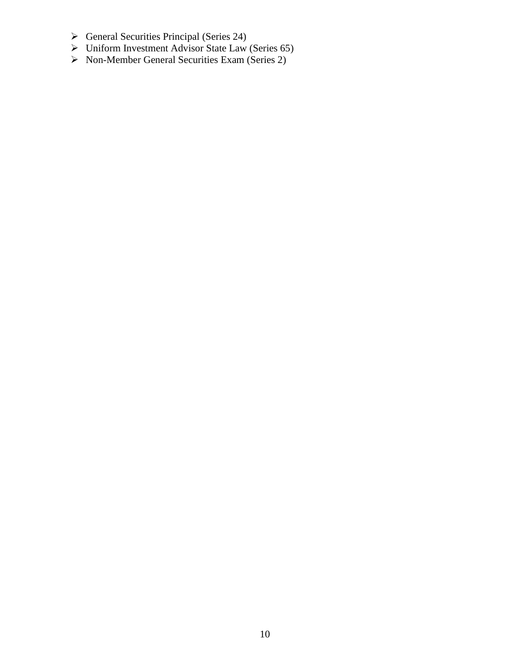- ➢ General Securities Principal (Series 24)
- ➢ Uniform Investment Advisor State Law (Series 65)
- ➢ Non-Member General Securities Exam (Series 2)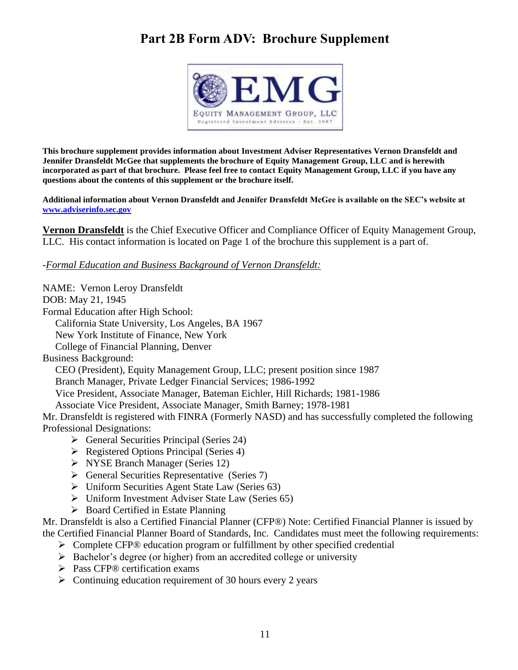# <span id="page-10-0"></span>**Part 2B Form ADV: Brochure Supplement**



**This brochure supplement provides information about Investment Adviser Representatives Vernon Dransfeldt and Jennifer Dransfeldt McGee that supplements the brochure of Equity Management Group, LLC and is herewith incorporated as part of that brochure. Please feel free to contact Equity Management Group, LLC if you have any questions about the contents of this supplement or the brochure itself.** 

**Additional information about Vernon Dransfeldt and Jennifer Dransfeldt McGee is available on the SEC's website at [www.adviserinfo.sec.gov](http://www.adviserinfo.sec.gov/)** 

**Vernon Dransfeldt** is the Chief Executive Officer and Compliance Officer of Equity Management Group, LLC. His contact information is located on Page 1 of the brochure this supplement is a part of.

-*Formal Education and Business Background of Vernon Dransfeldt:*

NAME: Vernon Leroy Dransfeldt

DOB: May 21, 1945

Formal Education after High School:

California State University, Los Angeles, BA 1967

New York Institute of Finance, New York

College of Financial Planning, Denver

Business Background:

CEO (President), Equity Management Group, LLC; present position since 1987

Branch Manager, Private Ledger Financial Services; 1986-1992

Vice President, Associate Manager, Bateman Eichler, Hill Richards; 1981-1986

Associate Vice President, Associate Manager, Smith Barney; 1978-1981

Mr. Dransfeldt is registered with FINRA (Formerly NASD) and has successfully completed the following Professional Designations:

- ➢ General Securities Principal (Series 24)
- ➢ Registered Options Principal (Series 4)
- ➢ NYSE Branch Manager (Series 12)
- ➢ General Securities Representative (Series 7)
- ➢ Uniform Securities Agent State Law (Series 63)
- ➢ Uniform Investment Adviser State Law (Series 65)
- ➢ Board Certified in Estate Planning

Mr. Dransfeldt is also a Certified Financial Planner (CFP®) Note: Certified Financial Planner is issued by the Certified Financial Planner Board of Standards, Inc. Candidates must meet the following requirements:

- ➢ Complete CFP® education program or fulfillment by other specified credential
- ➢ Bachelor's degree (or higher) from an accredited college or university
- ➢ Pass CFP® certification exams
- $\triangleright$  Continuing education requirement of 30 hours every 2 years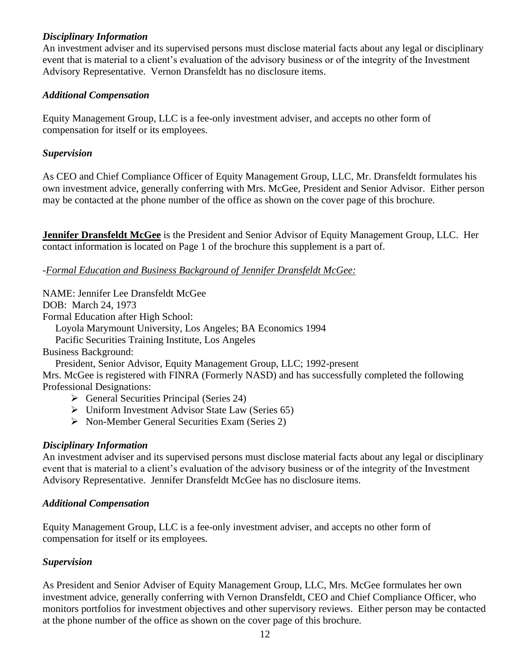#### *Disciplinary Information*

An investment adviser and its supervised persons must disclose material facts about any legal or disciplinary event that is material to a client's evaluation of the advisory business or of the integrity of the Investment Advisory Representative. Vernon Dransfeldt has no disclosure items.

#### *Additional Compensation*

Equity Management Group, LLC is a fee-only investment adviser, and accepts no other form of compensation for itself or its employees.

#### *Supervision*

As CEO and Chief Compliance Officer of Equity Management Group, LLC, Mr. Dransfeldt formulates his own investment advice, generally conferring with Mrs. McGee, President and Senior Advisor. Either person may be contacted at the phone number of the office as shown on the cover page of this brochure.

**Jennifer Dransfeldt McGee** is the President and Senior Advisor of Equity Management Group, LLC. Her contact information is located on Page 1 of the brochure this supplement is a part of.

#### -*Formal Education and Business Background of Jennifer Dransfeldt McGee:*

NAME: Jennifer Lee Dransfeldt McGee

DOB: March 24, 1973

Formal Education after High School:

Loyola Marymount University, Los Angeles; BA Economics 1994

Pacific Securities Training Institute, Los Angeles

Business Background:

President, Senior Advisor, Equity Management Group, LLC; 1992-present

Mrs. McGee is registered with FINRA (Formerly NASD) and has successfully completed the following Professional Designations:

- ➢ General Securities Principal (Series 24)
- ➢ Uniform Investment Advisor State Law (Series 65)
- ➢ Non-Member General Securities Exam (Series 2)

#### *Disciplinary Information*

An investment adviser and its supervised persons must disclose material facts about any legal or disciplinary event that is material to a client's evaluation of the advisory business or of the integrity of the Investment Advisory Representative. Jennifer Dransfeldt McGee has no disclosure items.

#### *Additional Compensation*

Equity Management Group, LLC is a fee-only investment adviser, and accepts no other form of compensation for itself or its employees.

#### *Supervision*

As President and Senior Adviser of Equity Management Group, LLC, Mrs. McGee formulates her own investment advice, generally conferring with Vernon Dransfeldt, CEO and Chief Compliance Officer, who monitors portfolios for investment objectives and other supervisory reviews. Either person may be contacted at the phone number of the office as shown on the cover page of this brochure.